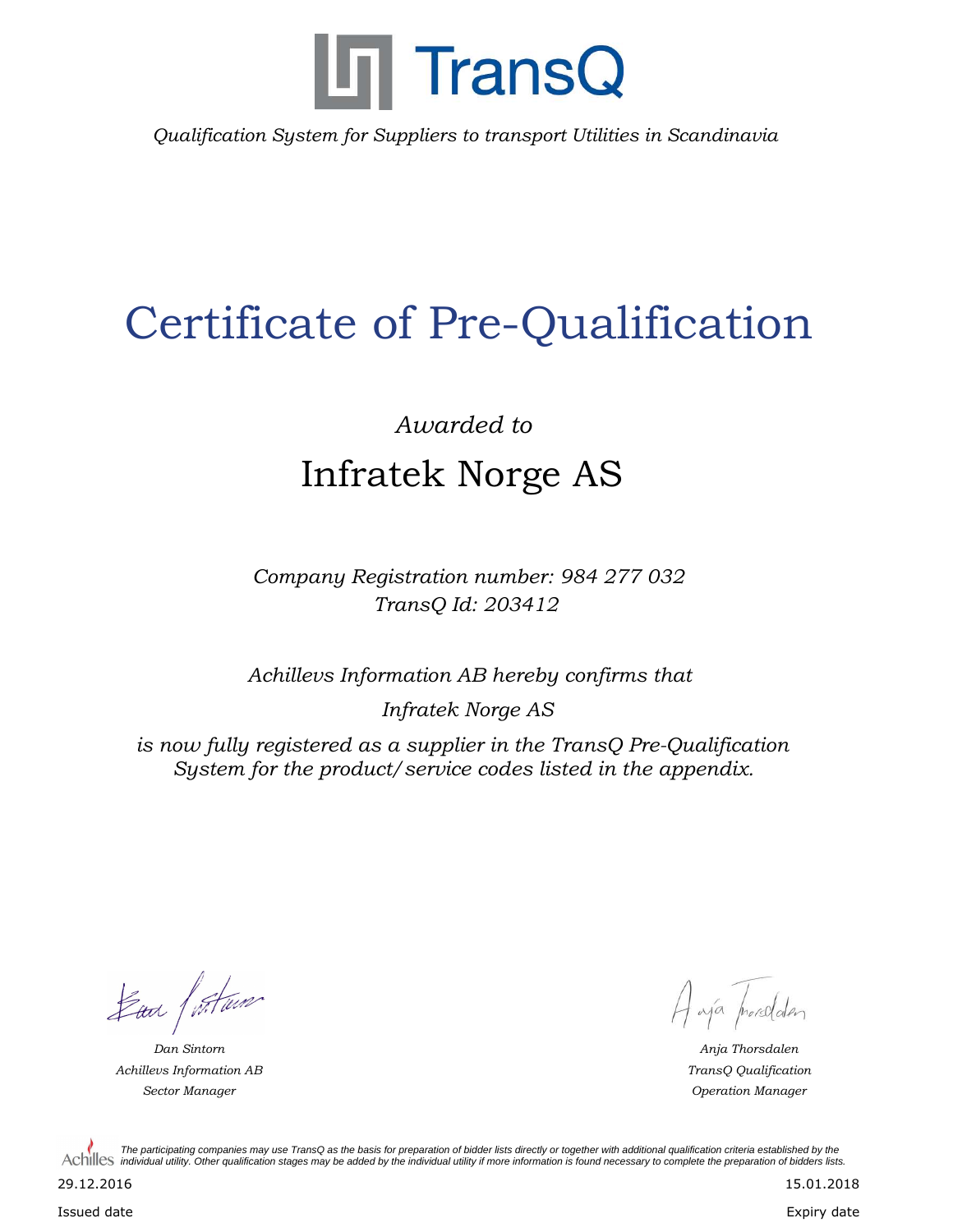

*Qualification System for Suppliers to transport Utilities in Scandinavia*

## Certificate of Pre-Qualification

## *Awarded to* Infratek Norge AS

*Company Registration number: 984 277 032 TransQ Id: 203412*

*Achillevs Information AB hereby confirms that*

*Infratek Norge AS*

*is now fully registered as a supplier in the TransQ Pre-Qualification System for the product/service codes listed in the appendix.*

Lan furtura

*Achillevs Information AB Sector Manager Operation Manager*

A ajá horsdalen

*Dan Sintorn Anja Thorsdalen TransQ Qualification*

*The participating companies may use TransQ as the basis for preparation of bidder lists directly or together with additional qualification criteria established by the*  Achilles *individual utility. Other qualification stages may be added by the individual utility if more information is found necessary to complete the preparation of bidders lists.* 

29.12.2016

Issued date